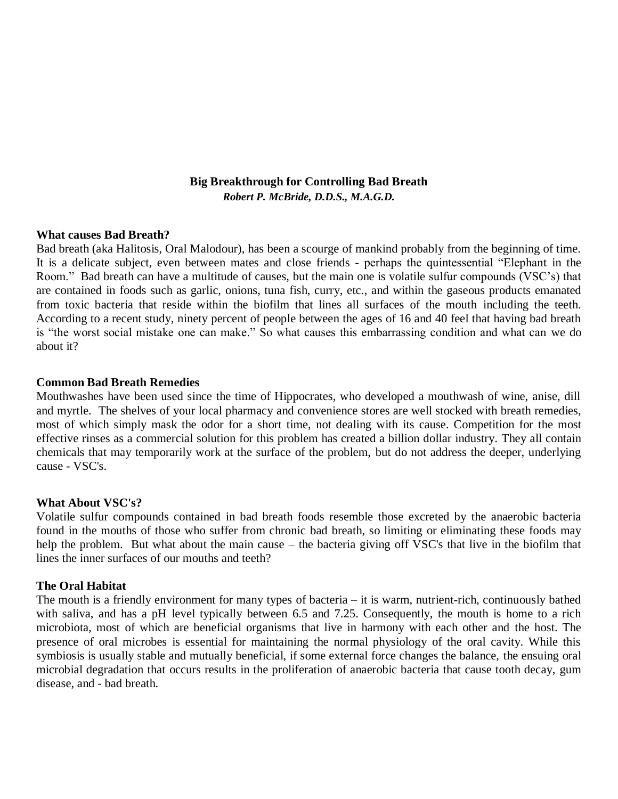# **Big Breakthrough for Controlling Bad Breath** *Robert P. McBride, D.D.S., M.A.G.D.*

#### **What causes Bad Breath?**

Bad breath (aka Halitosis, Oral Malodour), has been a scourge of mankind probably from the beginning of time. It is a delicate subject, even between mates and close friends - perhaps the quintessential "Elephant in the Room." Bad breath can have a multitude of causes, but the main one is volatile sulfur compounds (VSC's) that are contained in foods such as garlic, onions, tuna fish, curry, etc., and within the gaseous products emanated from toxic bacteria that reside within the biofilm that lines all surfaces of the mouth including the teeth. According to a recent study, ninety percent of people between the ages of 16 and 40 feel that having bad breath is "the worst social mistake one can make." So what causes this embarrassing condition and what can we do about it?

#### **Common Bad Breath Remedies**

Mouthwashes have been used since the time of Hippocrates, who developed a mouthwash of wine, anise, dill and myrtle. The shelves of your local pharmacy and convenience stores are well stocked with breath remedies, most of which simply mask the odor for a short time, not dealing with its cause. Competition for the most effective rinses as a commercial solution for this problem has created a billion dollar industry. They all contain chemicals that may temporarily work at the surface of the problem, but do not address the deeper, underlying cause - VSC's.

## **What About VSC's?**

Volatile sulfur compounds contained in bad breath foods resemble those excreted by the anaerobic bacteria found in the mouths of those who suffer from chronic bad breath, so limiting or eliminating these foods may help the problem. But what about the main cause – the bacteria giving off VSC's that live in the biofilm that lines the inner surfaces of our mouths and teeth?

## **The Oral Habitat**

The mouth is a friendly environment for many types of bacteria – it is warm, nutrient-rich, continuously bathed with saliva, and has a pH level typically between 6.5 and 7.25. Consequently, the mouth is home to a rich microbiota, most of which are beneficial organisms that live in harmony with each other and the host. The presence of oral microbes is essential for maintaining the normal physiology of the oral cavity. While this symbiosis is usually stable and mutually beneficial, if some external force changes the balance, the ensuing oral microbial degradation that occurs results in the proliferation of anaerobic bacteria that cause tooth decay, gum disease, and - bad breath.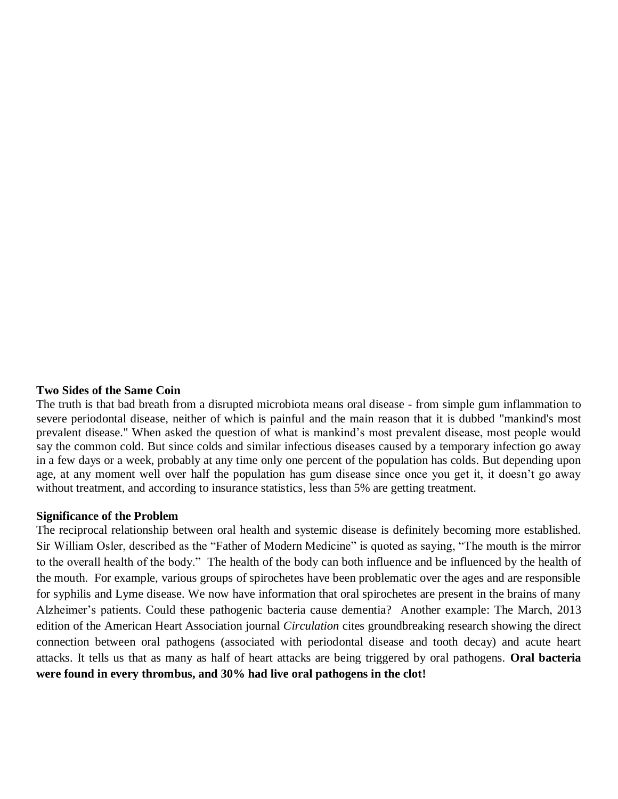## **Two Sides of the Same Coin**

The truth is that bad breath from a disrupted microbiota means oral disease - from simple gum inflammation to severe periodontal disease, neither of which is painful and the main reason that it is dubbed "mankind's most prevalent disease." When asked the question of what is mankind's most prevalent disease, most people would say the common cold. But since colds and similar infectious diseases caused by a temporary infection go away in a few days or a week, probably at any time only one percent of the population has colds. But depending upon age, at any moment well over half the population has gum disease since once you get it, it doesn't go away without treatment, and according to insurance statistics, less than 5% are getting treatment.

#### **Significance of the Problem**

The reciprocal relationship between oral health and systemic disease is definitely becoming more established. Sir William Osler, described as the "Father of Modern Medicine" is quoted as saying, "The mouth is the mirror to the overall health of the body." The health of the body can both influence and be influenced by the health of the mouth. For example, various groups of spirochetes have been problematic over the ages and are responsible for syphilis and Lyme disease. We now have information that oral spirochetes are present in the brains of many Alzheimer's patients. Could these pathogenic bacteria cause dementia? Another example: The March, 2013 edition of the American Heart Association journal *Circulation* cites groundbreaking research showing the direct connection between oral pathogens (associated with periodontal disease and tooth decay) and acute heart attacks. It tells us that as many as half of heart attacks are being triggered by oral pathogens. **Oral bacteria were found in every thrombus, and 30% had live oral pathogens in the clot!**